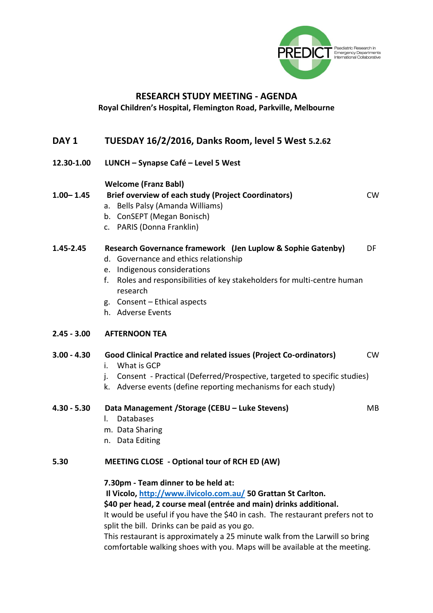

## **RESEARCH STUDY MEETING - AGENDA**

#### **Royal Children's Hospital, Flemington Road, Parkville, Melbourne**

### **DAY 1 TUESDAY 16/2/2016, Danks Room, level 5 West 5.2.62**

**12.30-1.00 LUNCH – Synapse Café – Level 5 West**

#### **Welcome (Franz Babl)**

## **1.00– 1.45 Brief overview of each study (Project Coordinators)** CW a. Bells Palsy (Amanda Williams)

- b. ConSEPT (Megan Bonisch)
- c. PARIS (Donna Franklin)

### **1.45-2.45 Research Governance framework (Jen Luplow & Sophie Gatenby)** DF

- d. Governance and ethics relationship
- e. Indigenous considerations
- f. Roles and responsibilities of key stakeholders for multi-centre human research
- g. Consent Ethical aspects
- h. Adverse Events

#### **2.45 - 3.00 AFTERNOON TEA**

### **3.00 - 4.30 Good Clinical Practice and related issues (Project Co-ordinators)** CW

- i. What is GCP
- j. Consent Practical (Deferred/Prospective, targeted to specific studies)
- k. Adverse events (define reporting mechanisms for each study)
- **4.30 - 5.30 Data Management /Storage (CEBU – Luke Stevens)** MB
	- l. Databases
	- m. Data Sharing
	- n. Data Editing

#### **5.30 MEETING CLOSE - Optional tour of RCH ED (AW)**

#### **7.30pm - Team dinner to be held at:**

**Il Vicolo,<http://www.ilvicolo.com.au/> 50 Grattan St Carlton.**

**\$40 per head, 2 course meal (entrée and main) drinks additional.**

It would be useful if you have the \$40 in cash. The restaurant prefers not to split the bill. Drinks can be paid as you go.

This restaurant is approximately a 25 minute walk from the Larwill so bring comfortable walking shoes with you. Maps will be available at the meeting.